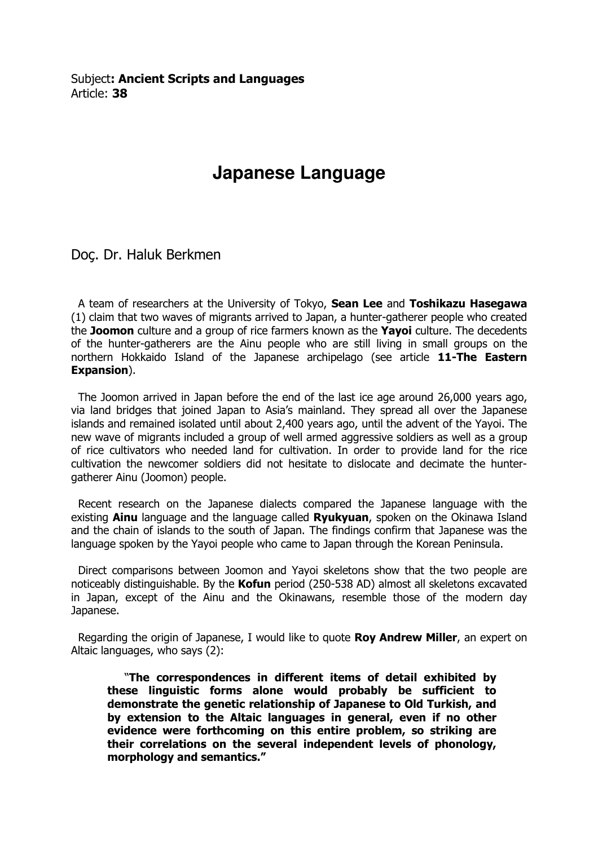Subject: Ancient Scripts and Languages Article: 38

## **Japanese Language**

Doç. Dr. Haluk Berkmen

 A team of researchers at the University of Tokyo, Sean Lee and Toshikazu Hasegawa (1) claim that two waves of migrants arrived to Japan, a hunter-gatherer people who created the Joomon culture and a group of rice farmers known as the Yayoi culture. The decedents of the hunter-gatherers are the Ainu people who are still living in small groups on the northern Hokkaido Island of the Japanese archipelago (see article 11-The Eastern Expansion).

 The Joomon arrived in Japan before the end of the last ice age around 26,000 years ago, via land bridges that joined Japan to Asia's mainland. They spread all over the Japanese islands and remained isolated until about 2,400 years ago, until the advent of the Yayoi. The new wave of migrants included a group of well armed aggressive soldiers as well as a group of rice cultivators who needed land for cultivation. In order to provide land for the rice cultivation the newcomer soldiers did not hesitate to dislocate and decimate the huntergatherer Ainu (Joomon) people.

 Recent research on the Japanese dialects compared the Japanese language with the existing **Ainu** language and the language called **Ryukyuan**, spoken on the Okinawa Island and the chain of islands to the south of Japan. The findings confirm that Japanese was the language spoken by the Yayoi people who came to Japan through the Korean Peninsula.

 Direct comparisons between Joomon and Yayoi skeletons show that the two people are noticeably distinguishable. By the Kofun period (250-538 AD) almost all skeletons excavated in Japan, except of the Ainu and the Okinawans, resemble those of the modern day Japanese.

Regarding the origin of Japanese, I would like to quote **Roy Andrew Miller**, an expert on Altaic languages, who says (2):

 "The correspondences in different items of detail exhibited by these linguistic forms alone would probably be sufficient to demonstrate the genetic relationship of Japanese to Old Turkish, and by extension to the Altaic languages in general, even if no other evidence were forthcoming on this entire problem, so striking are their correlations on the several independent levels of phonology, morphology and semantics."